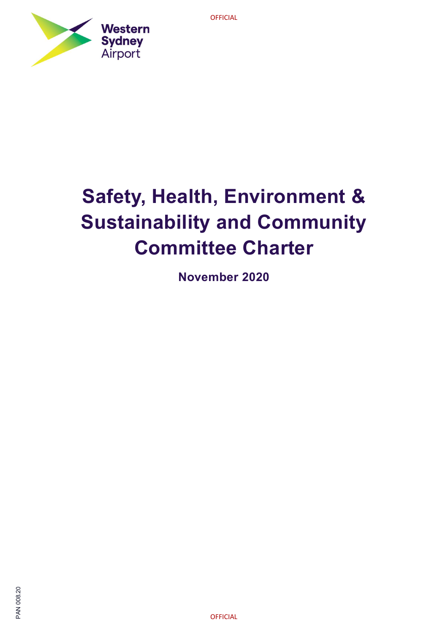

# Safety, Health, Environment & Sustainability and Community Committee Charter

November 2020

**OFFICIAL**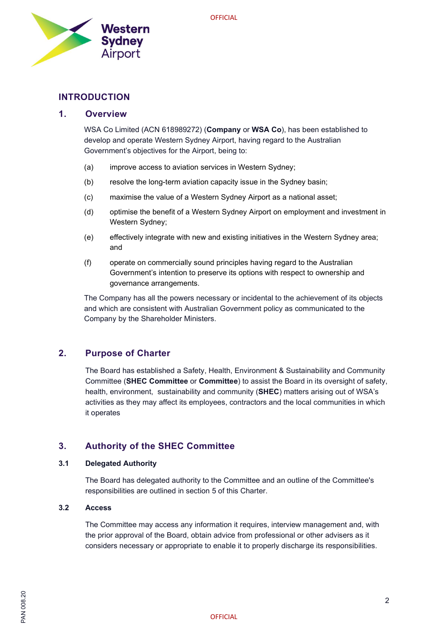

# INTRODUCTION

# 1. Overview

WSA Co Limited (ACN 618989272) (Company or WSA Co), has been established to develop and operate Western Sydney Airport, having regard to the Australian Government's objectives for the Airport, being to:

- (a) improve access to aviation services in Western Sydney;
- (b) resolve the long-term aviation capacity issue in the Sydney basin;
- (c) maximise the value of a Western Sydney Airport as a national asset;
- (d) optimise the benefit of a Western Sydney Airport on employment and investment in Western Sydney;
- (e) effectively integrate with new and existing initiatives in the Western Sydney area; and
- (f) operate on commercially sound principles having regard to the Australian Government's intention to preserve its options with respect to ownership and governance arrangements.

The Company has all the powers necessary or incidental to the achievement of its objects and which are consistent with Australian Government policy as communicated to the Company by the Shareholder Ministers.

# 2. Purpose of Charter

The Board has established a Safety, Health, Environment & Sustainability and Community Committee (SHEC Committee or Committee) to assist the Board in its oversight of safety, health, environment, sustainability and community (SHEC) matters arising out of WSA's activities as they may affect its employees, contractors and the local communities in which it operates

# 3. Authority of the SHEC Committee

# 3.1 Delegated Authority

The Board has delegated authority to the Committee and an outline of the Committee's responsibilities are outlined in section 5 of this Charter.

# 3.2 Access

The Committee may access any information it requires, interview management and, with the prior approval of the Board, obtain advice from professional or other advisers as it considers necessary or appropriate to enable it to properly discharge its responsibilities.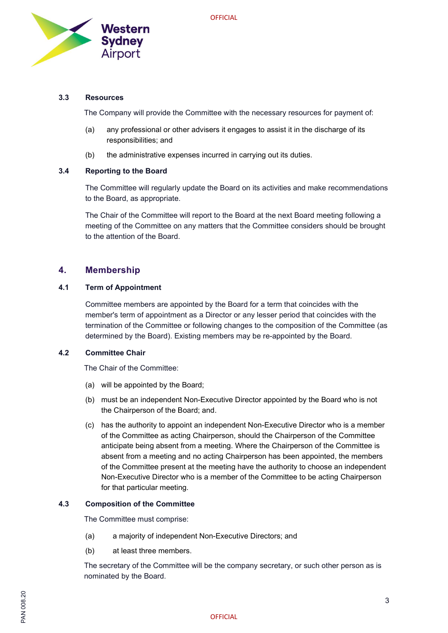

# 3.3 Resources

The Company will provide the Committee with the necessary resources for payment of:

- (a) any professional or other advisers it engages to assist it in the discharge of its responsibilities; and
- (b) the administrative expenses incurred in carrying out its duties.

#### 3.4 Reporting to the Board

The Committee will regularly update the Board on its activities and make recommendations to the Board, as appropriate.

The Chair of the Committee will report to the Board at the next Board meeting following a meeting of the Committee on any matters that the Committee considers should be brought to the attention of the Board.

# 4. Membership

# 4.1 Term of Appointment

Committee members are appointed by the Board for a term that coincides with the member's term of appointment as a Director or any lesser period that coincides with the termination of the Committee or following changes to the composition of the Committee (as determined by the Board). Existing members may be re-appointed by the Board.

# 4.2 Committee Chair

The Chair of the Committee:

- (a) will be appointed by the Board;
- (b) must be an independent Non-Executive Director appointed by the Board who is not the Chairperson of the Board; and.
- (c) has the authority to appoint an independent Non-Executive Director who is a member of the Committee as acting Chairperson, should the Chairperson of the Committee anticipate being absent from a meeting. Where the Chairperson of the Committee is absent from a meeting and no acting Chairperson has been appointed, the members of the Committee present at the meeting have the authority to choose an independent Non-Executive Director who is a member of the Committee to be acting Chairperson for that particular meeting.

# 4.3 Composition of the Committee

The Committee must comprise:

- (a) a majority of independent Non-Executive Directors; and
- (b) at least three members.

The secretary of the Committee will be the company secretary, or such other person as is nominated by the Board.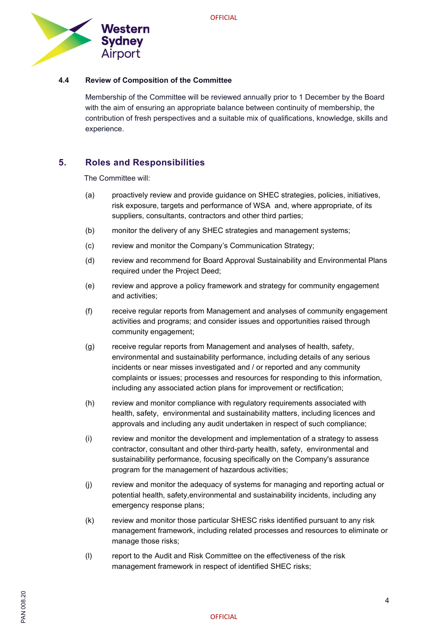

# 4.4 Review of Composition of the Committee

Membership of the Committee will be reviewed annually prior to 1 December by the Board with the aim of ensuring an appropriate balance between continuity of membership, the contribution of fresh perspectives and a suitable mix of qualifications, knowledge, skills and experience.

# 5. Roles and Responsibilities

The Committee will:

- (a) proactively review and provide guidance on SHEC strategies, policies, initiatives, risk exposure, targets and performance of WSA and, where appropriate, of its suppliers, consultants, contractors and other third parties;
- (b) monitor the delivery of any SHEC strategies and management systems;
- (c) review and monitor the Company's Communication Strategy;
- (d) review and recommend for Board Approval Sustainability and Environmental Plans required under the Project Deed;
- (e) review and approve a policy framework and strategy for community engagement and activities;
- (f) receive regular reports from Management and analyses of community engagement activities and programs; and consider issues and opportunities raised through community engagement;
- (g) receive regular reports from Management and analyses of health, safety, environmental and sustainability performance, including details of any serious incidents or near misses investigated and / or reported and any community complaints or issues; processes and resources for responding to this information, including any associated action plans for improvement or rectification;
- (h) review and monitor compliance with regulatory requirements associated with health, safety, environmental and sustainability matters, including licences and approvals and including any audit undertaken in respect of such compliance;
- (i) review and monitor the development and implementation of a strategy to assess contractor, consultant and other third-party health, safety, environmental and sustainability performance, focusing specifically on the Company's assurance program for the management of hazardous activities;
- (j) review and monitor the adequacy of systems for managing and reporting actual or potential health, safety,environmental and sustainability incidents, including any emergency response plans;
- (k) review and monitor those particular SHESC risks identified pursuant to any risk management framework, including related processes and resources to eliminate or manage those risks;
- (l) report to the Audit and Risk Committee on the effectiveness of the risk management framework in respect of identified SHEC risks;

SQ<br>88.80<br>주도<br>A 2008 - OFFICIAL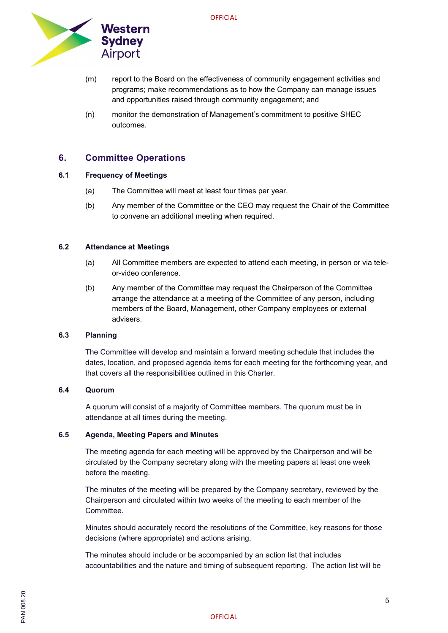

- (m) report to the Board on the effectiveness of community engagement activities and programs; make recommendations as to how the Company can manage issues and opportunities raised through community engagement; and
- (n) monitor the demonstration of Management's commitment to positive SHEC outcomes.

# 6. Committee Operations

# 6.1 Frequency of Meetings

- (a) The Committee will meet at least four times per year.
- (b) Any member of the Committee or the CEO may request the Chair of the Committee to convene an additional meeting when required.

# 6.2 Attendance at Meetings

- (a) All Committee members are expected to attend each meeting, in person or via teleor-video conference.
- (b) Any member of the Committee may request the Chairperson of the Committee arrange the attendance at a meeting of the Committee of any person, including members of the Board, Management, other Company employees or external advisers.

# 6.3 Planning

The Committee will develop and maintain a forward meeting schedule that includes the dates, location, and proposed agenda items for each meeting for the forthcoming year, and that covers all the responsibilities outlined in this Charter.

# 6.4 Quorum

 A quorum will consist of a majority of Committee members. The quorum must be in attendance at all times during the meeting.

# 6.5 Agenda, Meeting Papers and Minutes

The meeting agenda for each meeting will be approved by the Chairperson and will be circulated by the Company secretary along with the meeting papers at least one week before the meeting.

The minutes of the meeting will be prepared by the Company secretary, reviewed by the Chairperson and circulated within two weeks of the meeting to each member of the Committee.

Minutes should accurately record the resolutions of the Committee, key reasons for those decisions (where appropriate) and actions arising.

The minutes should include or be accompanied by an action list that includes accountabilities and the nature and timing of subsequent reporting. The action list will be

# SQ<br>88.80<br>주도<br>A 2008 - OFFICIAL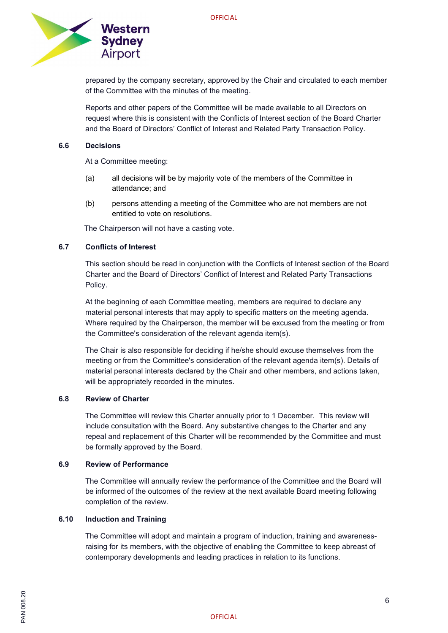

prepared by the company secretary, approved by the Chair and circulated to each member of the Committee with the minutes of the meeting.

Reports and other papers of the Committee will be made available to all Directors on request where this is consistent with the Conflicts of Interest section of the Board Charter and the Board of Directors' Conflict of Interest and Related Party Transaction Policy.

#### 6.6 Decisions

At a Committee meeting:

- (a) all decisions will be by majority vote of the members of the Committee in attendance; and
- (b) persons attending a meeting of the Committee who are not members are not entitled to vote on resolutions.

The Chairperson will not have a casting vote.

# 6.7 Conflicts of Interest

This section should be read in conjunction with the Conflicts of Interest section of the Board Charter and the Board of Directors' Conflict of Interest and Related Party Transactions Policy.

At the beginning of each Committee meeting, members are required to declare any material personal interests that may apply to specific matters on the meeting agenda. Where required by the Chairperson, the member will be excused from the meeting or from the Committee's consideration of the relevant agenda item(s).

The Chair is also responsible for deciding if he/she should excuse themselves from the meeting or from the Committee's consideration of the relevant agenda item(s). Details of material personal interests declared by the Chair and other members, and actions taken, will be appropriately recorded in the minutes.

# 6.8 Review of Charter

The Committee will review this Charter annually prior to 1 December. This review will include consultation with the Board. Any substantive changes to the Charter and any repeal and replacement of this Charter will be recommended by the Committee and must be formally approved by the Board.

#### 6.9 Review of Performance

The Committee will annually review the performance of the Committee and the Board will be informed of the outcomes of the review at the next available Board meeting following completion of the review.

# 6.10 Induction and Training

The Committee will adopt and maintain a program of induction, training and awarenessraising for its members, with the objective of enabling the Committee to keep abreast of contemporary developments and leading practices in relation to its functions.